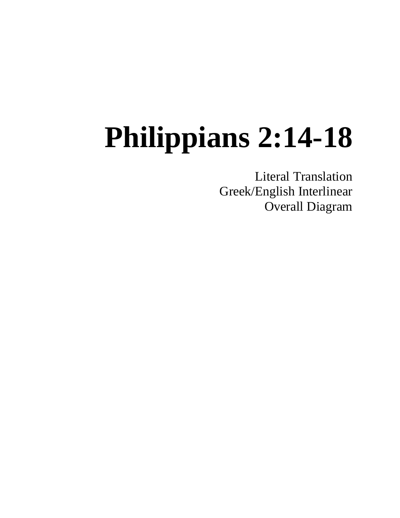Literal Translation Greek/English Interlinear Overall Diagram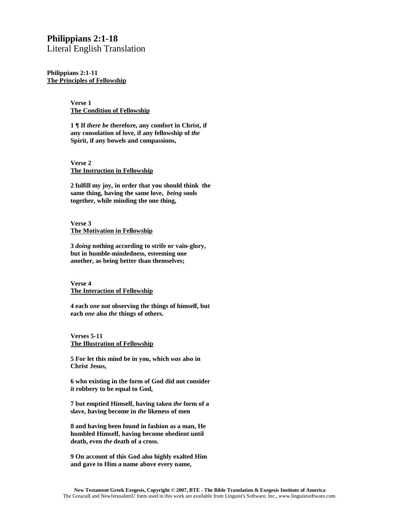Literal English Translation

**Philippians 2:1-11 The Principles of Fellowship**

> **Verse 1 The Condition of Fellowship**

**1 ¶ If** *there be* **therefore, any comfort in Christ, if any consolation of love, if any fellowship of** *the*  **Spirit, if any bowels and compassions,**

**Verse 2 The Instruction in Fellowship**

**2 fulfill my joy, in order that you should think the same thing, having the same love,** *being* **souls together, while minding the one thing,**

**Verse 3 The Motivation in Fellowship**

**3** *doing* **nothing according to strife or vain-glory, but in humble-mindedness, esteeming one another, as being better than themselves;**

**Verse 4 The Interaction of Fellowship**

**4 each** *one* **not observing the things of himself, but each** *one* **also** *the* **things of others.**

**Verses 5-11 The Illustration of Fellowship**

**5 For let this mind be in you, which** *was* **also in Christ Jesus,**

**6 who existing in the form of God did not consider**  *it* **robbery to be equal to God,**

**7 but emptied Himself, having taken** *the* **form of a slave, having become in** *the* **likeness of men**

**8 and having been found in fashion as a man, He humbled Himself, having become obedient until death, even** *the* **death of a cross.**

**9 On account of this God also highly exalted Him and gave to Him a name above every name,**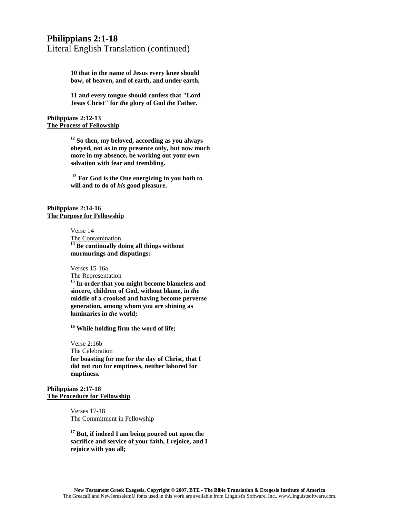Literal English Translation (continued)

**10 that in the name of Jesus every knee should bow, of heaven, and of earth, and under earth,**

**11 and every tongue should confess that "Lord Jesus Christ" for** *the* **glory of God** *the* **Father.** 

**Philippians 2:12-13 The Process of Fellowship**

> **<sup>12</sup> So then, my beloved, according as you always obeyed, not as in my presence only, but now much more in my absence, be working out your own salvation with fear and trembling.**

**<sup>13</sup> For God is the One energizing in you both to will and to do of** *his* **good pleasure.**

#### **Philippians 2:14-16 The Purpose for Fellowship**

Verse 14

The Contamination **<sup>14</sup> Be continually doing all things without murmurings and disputings:**

Verses 15-16a

The Representation

**<sup>15</sup> In order that you might become blameless and sincere, children of God, without blame, in** *the* **middle of a crooked and having become perverse generation, among whom you are shining as luminaries in** *the* **world;**

**<sup>16</sup> While holding firm the word of life;**

Verse 2:16b The Celebration **for boasting for me for** *the* **day of Christ, that I did not run for emptiness, neither labored for emptiness.**

#### **Philippians 2:17-18 The Procedure for Fellowship**

Verses 17-18 The Commitment in Fellowship

**<sup>17</sup> But, if indeed I am being poured out upon the sacrifice and service of your faith, I rejoice, and I rejoice with you all;**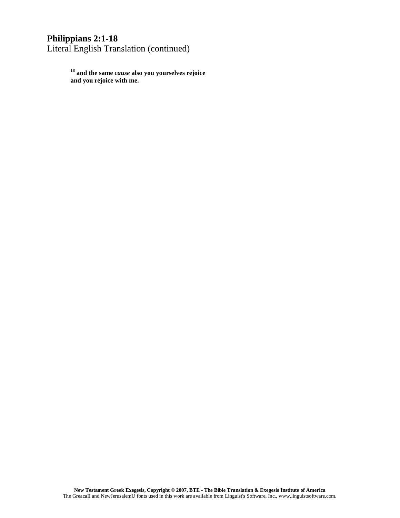# **Philippians 2:1-18** Literal English Translation (continued)

**<sup>18</sup> and the same** *cause* **also you yourselves rejoice and you rejoice with me.**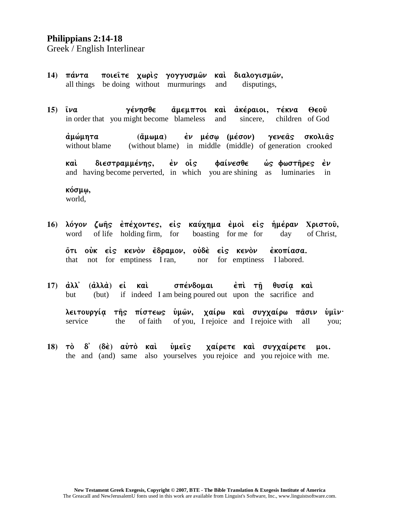Greek / English Interlinear

- $14$ ) πάντα ποιείτε χωρίς γογγυσμών και διαλογισμών, all things be doing without murmurings disputings, and
- $15$ )  $\tilde{\iota}\nu\alpha$ γένησθε άμεμπτοι καὶ ἀκέραιοι, τέκνα  $\Theta$  $\epsilon$ o $\hat{\upsilon}$ in order that you might become blameless sincere. children of God and

ἐν μέσῳ (μέσον) άμώμητα  $(\ddot{\alpha}\mu\omega\mu\alpha)$ γενεάς σκολιάς (without blame) in middle (middle) of generation crooked without blame

διεστραμμένης, έν οἱς Φαίνεσθε καὶ ώς φωστήρες έν and having become perverted, in which you are shining as luminaries  $in$ 

κόσμω, world,

16) λόγον ζωής έπέχοντες, είς καύχημα έμοι είς ήμέραν Χριστοῦ, boasting for me for word of life holding firm, for day of Christ, őτι οὐκ εἰς κενὸν ἔδραμον, οὐδὲ εἰς κενὸν έκοπίασα.

that not for emptiness I ran, nor for emptiness I labored.

17)  $\dot{a}\lambda\lambda$ σπένδομαι (ἀλλὰ) ∈ἰ καὶ έπὶ τῆ θυσία καὶ but  $(but)$ if indeed I am being poured out upon the sacrifice and

λειτουργία τῆς πίστεως ὑμῶν, χαίρω καὶ συγχαίρω πᾶσιν νμιν∙ of you, I rejoice and I rejoice with all service the of faith you;

 $(\delta \dot{\epsilon})$   $\alpha \dot{\nu} \tau \dot{\delta}$   $\kappa \alpha \dot{\iota}$ ὑμεῖς 18)  $\tau \dot{\sigma}$   $\delta'$ χαίρετε καὶ συγχαίρετε uol. the and (and) same also yourselves you rejoice and you rejoice with me.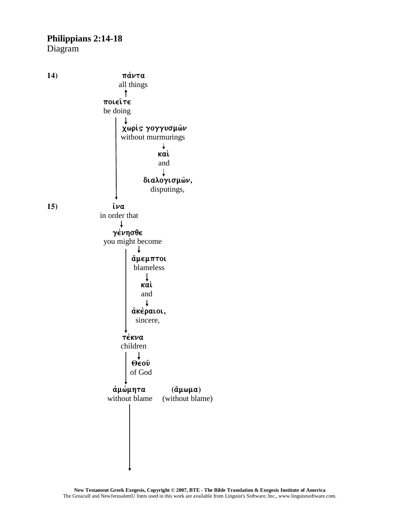Diagram

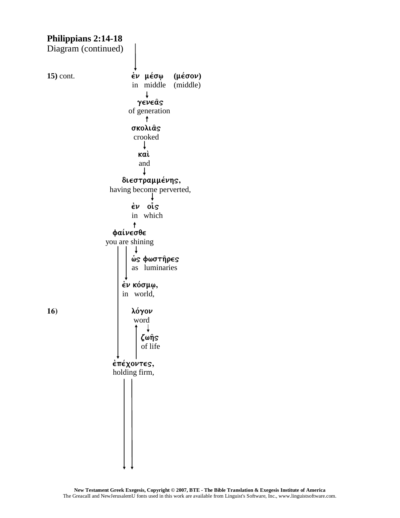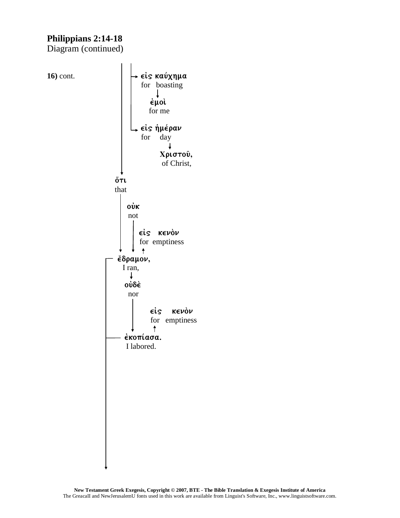Diagram (continued)

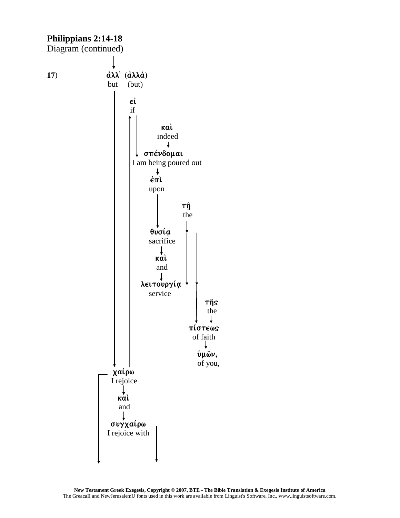